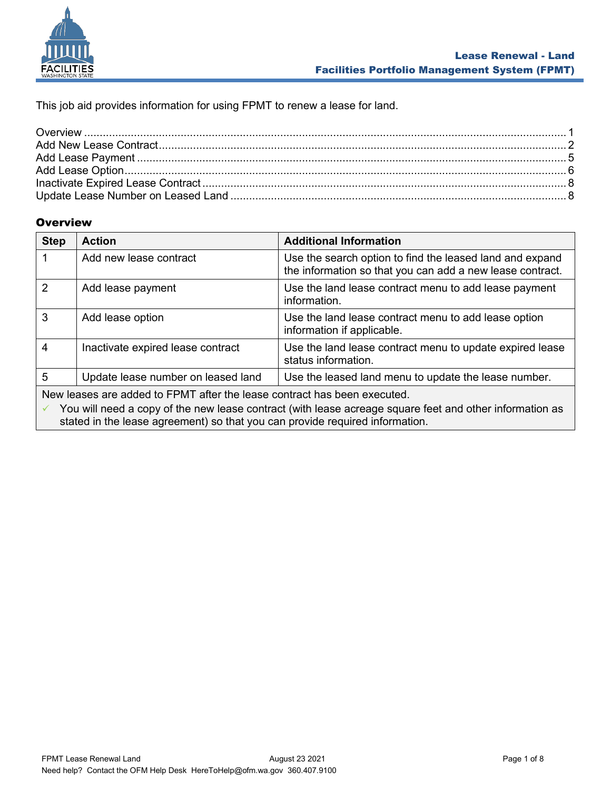

This job aid provides information for using FPMT to renew a lease for land.

# <span id="page-0-0"></span>**Overview**

| <b>Step</b>                                                              | <b>Action</b>                      | <b>Additional Information</b>                                                                                         |
|--------------------------------------------------------------------------|------------------------------------|-----------------------------------------------------------------------------------------------------------------------|
|                                                                          | Add new lease contract             | Use the search option to find the leased land and expand<br>the information so that you can add a new lease contract. |
| $\overline{2}$                                                           | Add lease payment                  | Use the land lease contract menu to add lease payment<br>information.                                                 |
| 3                                                                        | Add lease option                   | Use the land lease contract menu to add lease option<br>information if applicable.                                    |
| 4                                                                        | Inactivate expired lease contract  | Use the land lease contract menu to update expired lease<br>status information.                                       |
| 5                                                                        | Update lease number on leased land | Use the leased land menu to update the lease number.                                                                  |
| New leases are added to FPMT after the lease contract has been executed. |                                    |                                                                                                                       |

You will need a copy of the new lease contract (with lease acreage square feet and other information as stated in the lease agreement) so that you can provide required information.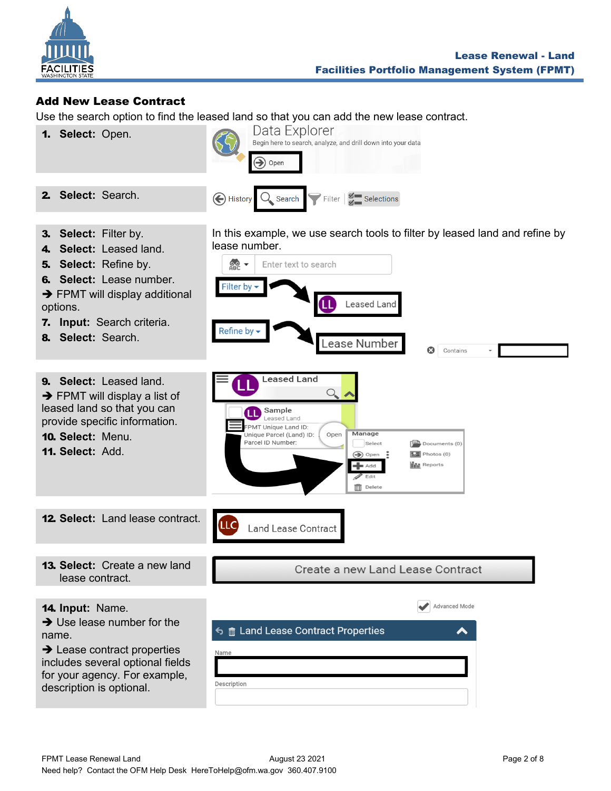

## <span id="page-1-0"></span>Add New Lease Contract

Use the search option to find the leased land so that you can add the new lease contract.

lease number.

 $\frac{1}{2}$ 

**Filter by** 

Refine by -

LLC

1. **Select:** Open.



Enter text to search

**Leased Land** 

Sample Leased Land FPMT Unique Land ID:

Parcel ID Number:

Unique Parcel (Land) ID:

**Land Lease Contract** 

3. **Select:** Filter by.

2. **Select:** Search.

- 4. **Select:** Leased land.
- 5. **Select:** Refine by.
- 6. **Select:** Lease number.
- $\rightarrow$  FPMT will display additional
- options.
- 7. **Input:** Search criteria.
- 8. **Select:** Search.

9. **Select:** Leased land. ➔ FPMT will display a list of leased land so that you can provide specific information.

- 10. **Select:** Menu.
- 11. **Select:** Add.

12. **Select:** Land lease contract.

13. **Select:** Create a new land lease contract.

Create a new Land Lease Contract

In this example, we use search tools to filter by leased land and refine by

Q

 $\sqrt{\frac{m}{n}}$  Documents (0)

 $\boxed{\phantom{1}2}$  Photos (0)

**I**II Reports

Contains

Leased Land

Lease Number

Manage

 $\blacktriangleleft$  Add Edit  $\overline{\mathbb{III}}$  Delete

Select

 $\bigcirc$  Open :

 $\bigcirc$ 

Open

14. **Input:** Name.

 $\rightarrow$  Use lease number for the name.

 $\rightarrow$  Lease contract properties includes several optional fields for your agency. For example, description is optional.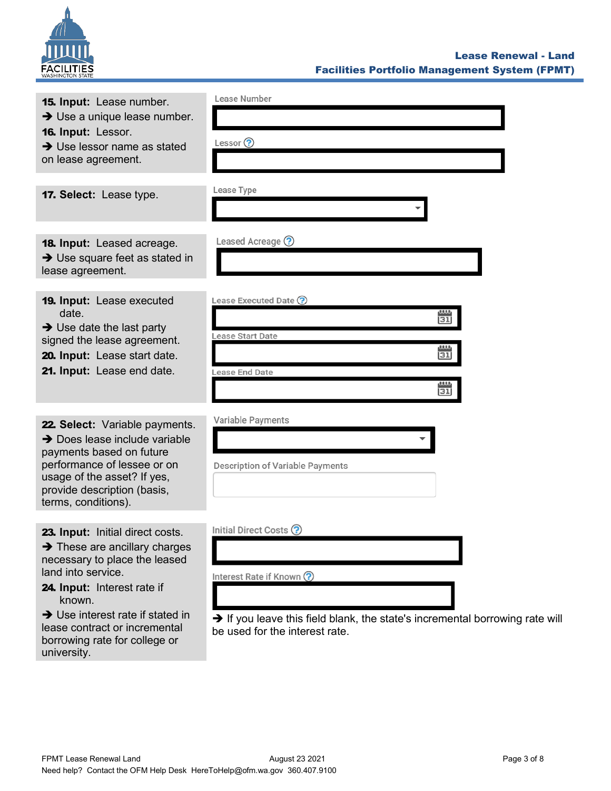

| 15. Input: Lease number.<br>$\rightarrow$ Use a unique lease number.<br>16. Input: Lessor.<br>$\rightarrow$ Use lessor name as stated<br>on lease agreement.                                                                                                   | Lease Number<br>Lessor $\odot$                                                                                                                                                   |
|----------------------------------------------------------------------------------------------------------------------------------------------------------------------------------------------------------------------------------------------------------------|----------------------------------------------------------------------------------------------------------------------------------------------------------------------------------|
| 17. Select: Lease type.                                                                                                                                                                                                                                        | Lease Type                                                                                                                                                                       |
| <b>18. Input:</b> Leased acreage.<br>$\rightarrow$ Use square feet as stated in<br>lease agreement.                                                                                                                                                            | Leased Acreage ?                                                                                                                                                                 |
| <b>19. Input: Lease executed</b><br>date.<br>$\rightarrow$ Use date the last party<br>signed the lease agreement.<br>20. Input: Lease start date.<br>21. Input: Lease end date.                                                                                | Lease Executed Date ?<br>w<br>31<br>Lease Start Date<br><u>uu</u><br>31<br>Lease End Date<br>$\frac{1}{31}$                                                                      |
| 22. Select: Variable payments.<br>$\rightarrow$ Does lease include variable<br>payments based on future<br>performance of lessee or on<br>usage of the asset? If yes,<br>provide description (basis,<br>terms, conditions).                                    | Variable Payments<br>Description of Variable Payments                                                                                                                            |
| 23. Input: Initial direct costs.<br>$\rightarrow$ These are ancillary charges<br>necessary to place the leased<br>land into service.<br>24. Input: Interest rate if<br>known.<br>$\rightarrow$ Use interest rate if stated in<br>lease contract or incremental | Initial Direct Costs ?<br>Interest Rate if Known ?<br>$\rightarrow$ If you leave this field blank, the state's incremental borrowing rate will<br>be used for the interest rate. |

borrowing rate for college or

university.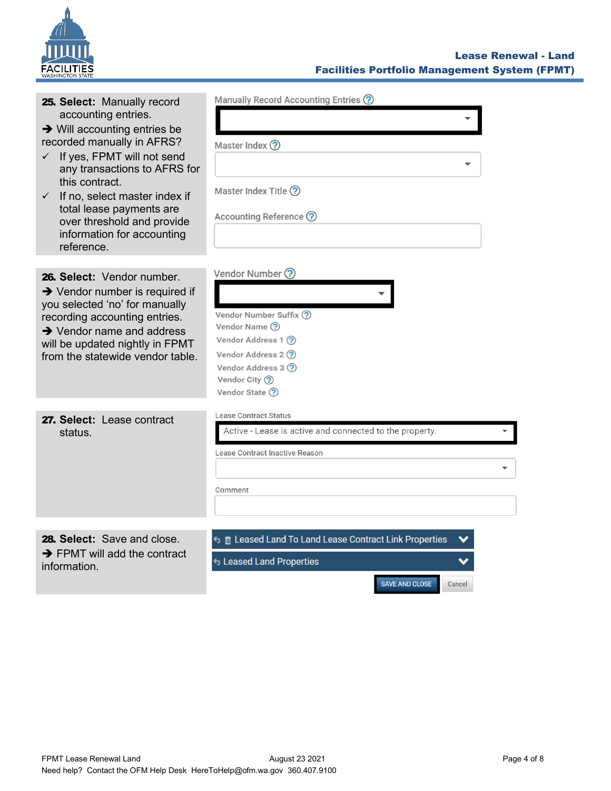

#### Lease Renewal - Land Facilities Portfolio Management System (FPMT)

| 25. Select: Manually record<br>accounting entries.<br>$\rightarrow$ Will accounting entries be<br>recorded manually in AFRS?<br>If yes, FPMT will not send<br>$\checkmark$<br>any transactions to AFRS for<br>this contract.<br>If no, select master index if<br>$\checkmark$<br>total lease payments are<br>over threshold and provide<br>information for accounting<br>reference. | Manually Record Accounting Entries ?<br>Master Index ?<br>Master Index Title ?<br>Accounting Reference ?                                                                     |
|-------------------------------------------------------------------------------------------------------------------------------------------------------------------------------------------------------------------------------------------------------------------------------------------------------------------------------------------------------------------------------------|------------------------------------------------------------------------------------------------------------------------------------------------------------------------------|
| 26. Select: Vendor number.<br>$\rightarrow$ Vendor number is required if<br>you selected 'no' for manually<br>recording accounting entries.<br>$\rightarrow$ Vendor name and address<br>will be updated nightly in FPMT<br>from the statewide vendor table.                                                                                                                         | Vendor Number ?<br>Vendor Number Suffix ?<br>Vendor Name (?)<br>Vendor Address 1 ?<br>Vendor Address 2 ?<br>Vendor Address 3 ?<br>Vendor City $\left($ ?<br>Vendor State (?) |
| 27. Select: Lease contract<br>status.                                                                                                                                                                                                                                                                                                                                               | Lease Contract Status<br>Active - Lease is active and connected to the property.<br>Lease Contract Inactive Reason<br>Comment                                                |
| 28. Select: Save and close.<br>$\rightarrow$ FPMT will add the contract<br>information.                                                                                                                                                                                                                                                                                             | <b>5</b> m Leased Land To Land Lease Contract Link Properties<br>← Leased Land Properties<br><b>SAVE AND CLOSE</b><br>Cancel                                                 |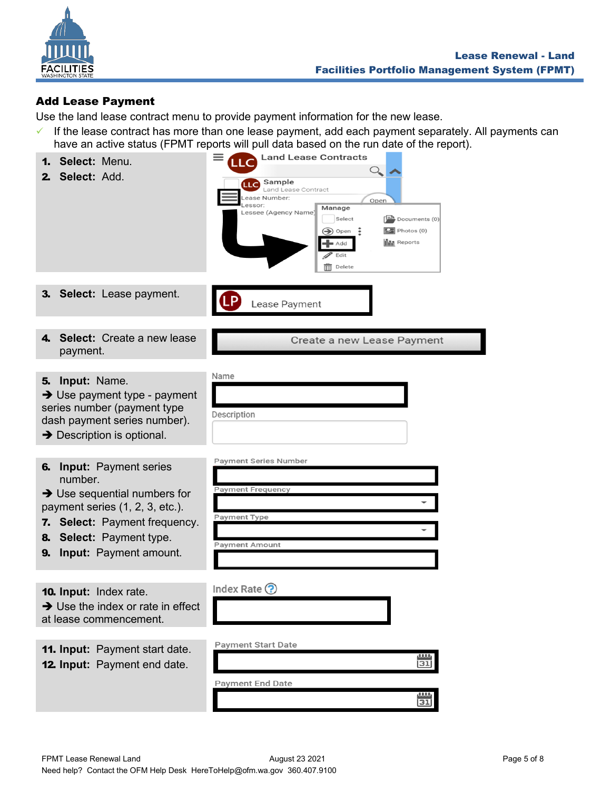

# <span id="page-4-0"></span>Add Lease Payment

Use the land lease contract menu to provide payment information for the new lease.

 $\checkmark$  If the lease contract has more than one lease payment, add each payment separately. All payments can have an active status (FPMT reports will pull data based on the run date of the report).

| Select: Menu.<br>1.<br>Select: Add.<br>2.                                                                                                                                                                                        | have an active status (FPMT reports will pull data based on the run date of the report).<br><b>Land Lease Contracts</b><br>LLC<br>$\bigcirc$<br><b>LLC</b> Sample<br>Land Lease Contract<br>Lease Number:<br>Open<br>Lessor:<br>Manage<br>Lessee (Agency Name)<br>Select<br>$\left[\frac{1-\alpha}{\alpha}\right]$ Documents (0)<br>$\boxed{\phantom{1}2}$ Photos (0)<br>÷<br>$\left( \bigoplus \right)$ Open<br><b>III</b> Reports<br>Add<br>$\blacktriangleright$ Edit<br>$\overline{\mathbb{H}}$ Delete |
|----------------------------------------------------------------------------------------------------------------------------------------------------------------------------------------------------------------------------------|------------------------------------------------------------------------------------------------------------------------------------------------------------------------------------------------------------------------------------------------------------------------------------------------------------------------------------------------------------------------------------------------------------------------------------------------------------------------------------------------------------|
| 3. Select: Lease payment.                                                                                                                                                                                                        | Lease Payment                                                                                                                                                                                                                                                                                                                                                                                                                                                                                              |
| Select: Create a new lease<br>4.<br>payment.                                                                                                                                                                                     | Create a new Lease Payment                                                                                                                                                                                                                                                                                                                                                                                                                                                                                 |
| Input: Name.<br>5.<br>$\rightarrow$ Use payment type - payment<br>series number (payment type<br>dash payment series number).<br>$\rightarrow$ Description is optional.                                                          | Name<br>Description                                                                                                                                                                                                                                                                                                                                                                                                                                                                                        |
| <b>Input: Payment series</b><br>6.<br>number.<br>$\rightarrow$ Use sequential numbers for<br>payment series (1, 2, 3, etc.).<br>7. Select: Payment frequency.<br>8. Select: Payment type.<br><b>Input:</b> Payment amount.<br>9. | Payment Series Number<br><b>Payment Frequency</b><br><b>Payment Type</b><br><b>Payment Amount</b>                                                                                                                                                                                                                                                                                                                                                                                                          |
| 10. Input: Index rate.<br>$\rightarrow$ Use the index or rate in effect<br>at lease commencement.                                                                                                                                | Index Rate $\odot$                                                                                                                                                                                                                                                                                                                                                                                                                                                                                         |
| 11. Input: Payment start date.<br><b>12. Input:</b> Payment end date.                                                                                                                                                            | <b>Payment Start Date</b><br>$\mathbf{u}\mathbf{u}$<br>$\overline{31}$<br>Payment End Date<br>0.000<br>$\overline{31}$                                                                                                                                                                                                                                                                                                                                                                                     |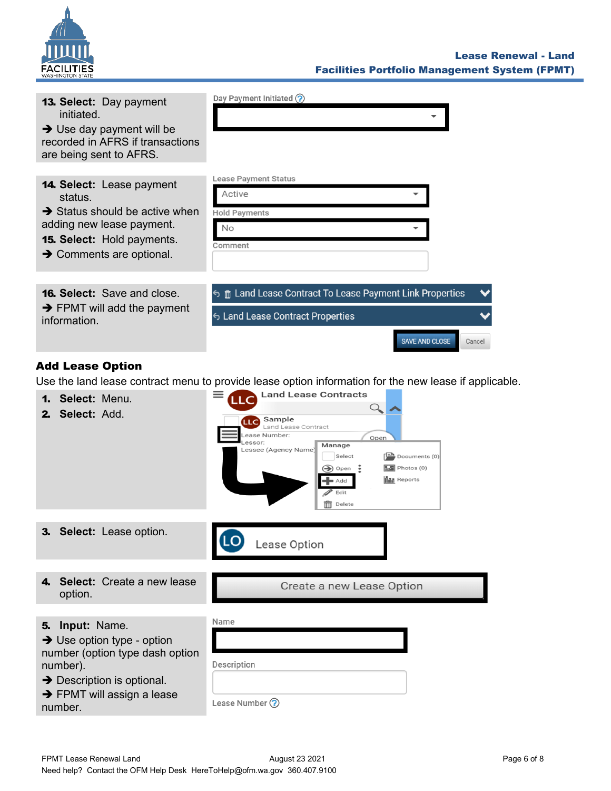

| <b>13. Select: Day payment</b><br>initiated.<br>$\rightarrow$ Use day payment will be<br>recorded in AFRS if transactions<br>are being sent to AFRS.                                                | Day Payment Initiated (?)                                                                                                                                                                                                                                                                                                                                                                                                                                                       |
|-----------------------------------------------------------------------------------------------------------------------------------------------------------------------------------------------------|---------------------------------------------------------------------------------------------------------------------------------------------------------------------------------------------------------------------------------------------------------------------------------------------------------------------------------------------------------------------------------------------------------------------------------------------------------------------------------|
| <b>14. Select:</b> Lease payment<br>status.<br>$\rightarrow$ Status should be active when<br>adding new lease payment.<br><b>15. Select:</b> Hold payments.<br>$\rightarrow$ Comments are optional. | Lease Payment Status<br>Active<br><b>Hold Payments</b><br>No<br>Comment                                                                                                                                                                                                                                                                                                                                                                                                         |
| <b>16. Select:</b> Save and close.<br>$\rightarrow$ FPMT will add the payment<br>information.                                                                                                       | 6 m Land Lease Contract To Lease Payment Link Properties<br>← Land Lease Contract Properties<br><b>SAVE AND CLOSE</b><br>Cancel                                                                                                                                                                                                                                                                                                                                                 |
| <b>Add Lease Option</b><br>Select: Menu.<br>1.<br>Select: Add.<br>2.                                                                                                                                | Use the land lease contract menu to provide lease option information for the new lease if applicable.<br><b>Land Lease Contracts</b><br><b>LLC</b><br>$\bigcirc$<br><b>LLC</b> Sample<br>Land Lease Contract<br>Lease Number:<br>Open<br>Lessor:<br>Manage<br>Lessee (Agency Name)<br>Select<br>$\left  \frac{1}{2} \right $ Documents (0)<br>$\boxed{\phantom{1}2}$ Photos (0)<br>Ξ<br>$\left( \bigtriangledown \right)$ Open<br><b>III</b> Reports<br>■ Add<br>Edit<br>Delete |
| Select: Lesse option                                                                                                                                                                                |                                                                                                                                                                                                                                                                                                                                                                                                                                                                                 |

<span id="page-5-0"></span>



4. **Select:** Create a new lease option.

Create a new Lease Option

## 5. **Input:** Name.

| $\rightarrow$ Use option type - option |             |
|----------------------------------------|-------------|
| number (option type dash option        |             |
| number).                               | Description |
|                                        |             |

**→** Description is optional.

|         | $\rightarrow$ FPMT will assign a lease |  |
|---------|----------------------------------------|--|
| number. |                                        |  |

Lease Number ?

Name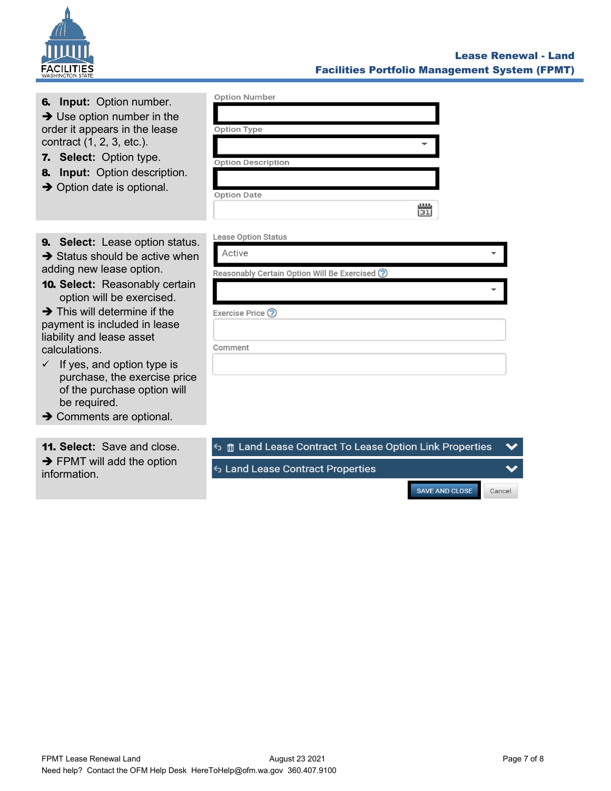

| <b>6. Input:</b> Option number.<br>$\rightarrow$ Use option number in the<br>order it appears in the lease<br>contract (1, 2, 3, etc.).<br><b>7. Select:</b> Option type.<br><b>Input:</b> Option description.<br>8.<br>$\rightarrow$ Option date is optional.                                                                                                                                                                                                                     | <b>Option Number</b><br><b>Option Type</b><br><b>Option Description</b><br><b>Option Date</b><br>0.000<br>31         |
|------------------------------------------------------------------------------------------------------------------------------------------------------------------------------------------------------------------------------------------------------------------------------------------------------------------------------------------------------------------------------------------------------------------------------------------------------------------------------------|----------------------------------------------------------------------------------------------------------------------|
| <b>9. Select:</b> Lease option status.<br>$\rightarrow$ Status should be active when<br>adding new lease option.<br><b>10. Select:</b> Reasonably certain<br>option will be exercised.<br>$\rightarrow$ This will determine if the<br>payment is included in lease<br>liability and lease asset<br>calculations.<br>$\checkmark$ If yes, and option type is<br>purchase, the exercise price<br>of the purchase option will<br>be required.<br>$\rightarrow$ Comments are optional. | <b>Lease Option Status</b><br>Active<br>Reasonably Certain Option Will Be Exercised ?<br>Exercise Price ?<br>Comment |
| <b>11. Select:</b> Save and close.<br>$\rightarrow$ FPMT will add the option<br>information.                                                                                                                                                                                                                                                                                                                                                                                       | <b>う 前 Land Lease Contract To Lease Option Link Properties</b><br>← Land Lease Contract Properties                   |

# Lease Renewal - Land Facilities Portfolio Management System (FPMT)

SAVE AND CLOSE

Cancel